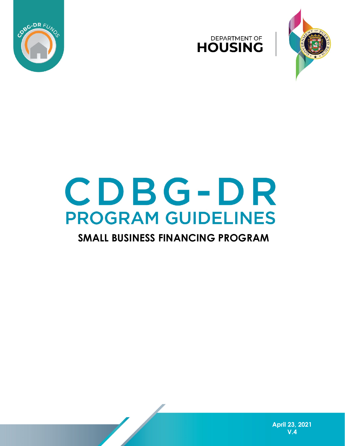





# CDBG-DR **PROGRAM GUIDELINES**

# **SMALL BUSINESS FINANCING PROGRAM**

**April 23, 2021 V.4**

**Version 1.0**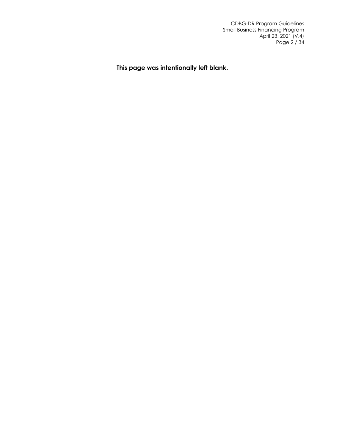CDBG-DR Program Guidelines Small Business Financing Program April 23, 2021 (V.4) Page 2 / 34

**This page was intentionally left blank.**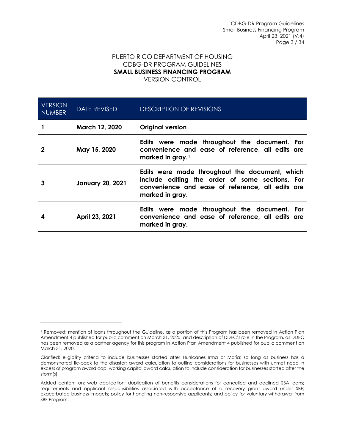CDBG-DR Program Guidelines Small Business Financing Program April 23, 2021 (V.4) Page 3 / 34

#### PUERTO RICO DEPARTMENT OF HOUSING CDBG-DR PROGRAM GUIDELINES **SMALL BUSINESS FINANCING PROGRAM** VERSION CONTROL

**VERSION** NUMBER DATE REVISED DESCRIPTION OF REVISIONS **1 March 12, 2020 Original version 2 May 15, 2020 Edits were made throughout the document. For convenience and ease of reference, all edits are marked in gray.[1](#page-2-0) 3 January 20, 2021 Edits were made throughout the document, which include editing the order of some sections. For convenience and ease of reference, all edits are marked in gray. 4 April 23, 2021 Edits were made throughout the document. For convenience and ease of reference, all edits are marked in gray.**

 $\overline{a}$ 

<span id="page-2-0"></span><sup>1</sup> Removed: mention of loans throughout the Guideline, as a portion of this Program has been removed in Action Plan Amendment 4 published for public comment on March 31, 2020; and description of DDEC's role in the Program, as DDEC has been removed as a partner agency for this program in Action Plan Amendment 4 published for public comment on March 31, 2020.

Clarified: eligibility criteria to include businesses started after Hurricanes Irma or María; so long as business has a demonstrated tie-back to the disaster; award calculation to outline considerations for businesses with unmet need in excess of program award cap; working capital award calculation to include consideration for businesses started after the storm(s).

Added content on: web application; duplication of benefits considerations for cancelled and declined SBA loans; requirements and applicant responsibilities associated with acceptance of a recovery grant award under SBF; exacerbated business impacts; policy for handling non-responsive applicants; and policy for voluntary withdrawal from SBF Program.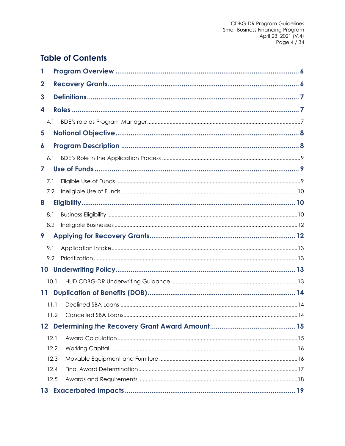# **Table of Contents**

| ı           |      |  |  |  |  |  |
|-------------|------|--|--|--|--|--|
| $\mathbf 2$ |      |  |  |  |  |  |
| 3           |      |  |  |  |  |  |
| 4           |      |  |  |  |  |  |
| 4.1         |      |  |  |  |  |  |
| 5           |      |  |  |  |  |  |
| 6           |      |  |  |  |  |  |
| 6.1         |      |  |  |  |  |  |
| 7           |      |  |  |  |  |  |
| 7.1         |      |  |  |  |  |  |
| 7.2         |      |  |  |  |  |  |
| 8           |      |  |  |  |  |  |
| 8.1         |      |  |  |  |  |  |
| 8.2         |      |  |  |  |  |  |
| 9           |      |  |  |  |  |  |
| 9.1         |      |  |  |  |  |  |
| 9.2         |      |  |  |  |  |  |
| 10          |      |  |  |  |  |  |
|             | 10.1 |  |  |  |  |  |
| 11          |      |  |  |  |  |  |
|             | 11.1 |  |  |  |  |  |
|             | 11.2 |  |  |  |  |  |
|             |      |  |  |  |  |  |
|             | 12.1 |  |  |  |  |  |
|             | 12.2 |  |  |  |  |  |
|             | 12.3 |  |  |  |  |  |
|             | 12.4 |  |  |  |  |  |
|             | 12.5 |  |  |  |  |  |
|             |      |  |  |  |  |  |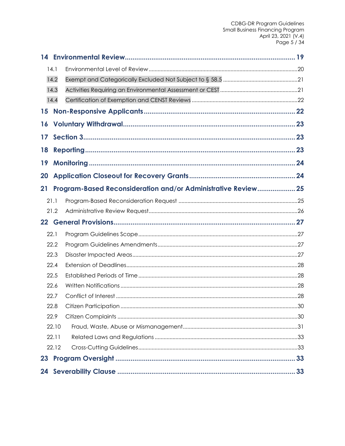|                      | 14.1  |                                                               |  |  |  |  |  |
|----------------------|-------|---------------------------------------------------------------|--|--|--|--|--|
| 14.2<br>14.3<br>14.4 |       |                                                               |  |  |  |  |  |
|                      |       |                                                               |  |  |  |  |  |
|                      |       |                                                               |  |  |  |  |  |
| 15                   |       |                                                               |  |  |  |  |  |
| 16                   |       |                                                               |  |  |  |  |  |
| 17                   |       |                                                               |  |  |  |  |  |
| 18                   |       |                                                               |  |  |  |  |  |
| 19                   |       |                                                               |  |  |  |  |  |
| 20                   |       |                                                               |  |  |  |  |  |
| 21                   |       | Program-Based Reconsideration and/or Administrative Review 25 |  |  |  |  |  |
|                      | 21.1  |                                                               |  |  |  |  |  |
|                      | 21.2  |                                                               |  |  |  |  |  |
|                      |       |                                                               |  |  |  |  |  |
|                      | 22.1  |                                                               |  |  |  |  |  |
|                      | 22.2  |                                                               |  |  |  |  |  |
|                      | 22.3  |                                                               |  |  |  |  |  |
|                      | 22.4  |                                                               |  |  |  |  |  |
|                      | 22.5  |                                                               |  |  |  |  |  |
|                      | 22.6  |                                                               |  |  |  |  |  |
|                      | 22.7  |                                                               |  |  |  |  |  |
|                      | 22.8  |                                                               |  |  |  |  |  |
|                      | 22.9  |                                                               |  |  |  |  |  |
|                      | 22.10 |                                                               |  |  |  |  |  |
|                      | 22.11 |                                                               |  |  |  |  |  |
|                      | 22.12 |                                                               |  |  |  |  |  |
|                      |       |                                                               |  |  |  |  |  |
| 24                   |       |                                                               |  |  |  |  |  |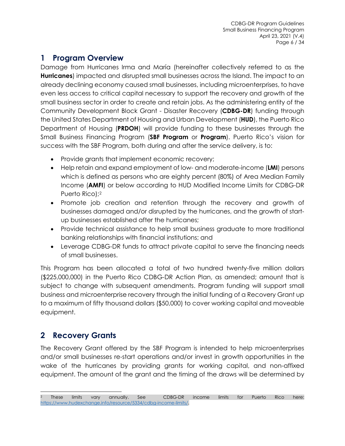# <span id="page-5-0"></span>**1 Program Overview**

Damage from Hurricanes Irma and María (hereinafter collectively referred to as the **Hurricanes**) impacted and disrupted small businesses across the Island. The impact to an already declining economy caused small businesses, including microenterprises, to have even less access to critical capital necessary to support the recovery and growth of the small business sector in order to create and retain jobs. As the administering entity of the Community Development Block Grant - Disaster Recovery (**CDBG-DR**) funding through the United States Department of Housing and Urban Development (**HUD**), the Puerto Rico Department of Housing (**PRDOH**) will provide funding to these businesses through the Small Business Financing Program (**SBF Program** or **Program**). Puerto Rico's vision for success with the SBF Program, both during and after the service delivery, is to:

- Provide grants that implement economic recovery;
- Help retain and expand employment of low- and moderate-income (**LMI**) persons which is defined as persons who are eighty percent (80%) of Area Median Family Income (**AMFI**) or below according to HUD Modified Income Limits for CDBG-DR Puerto Rico);[2](#page-5-2)
- Promote job creation and retention through the recovery and growth of businesses damaged and/or disrupted by the hurricanes, and the growth of startup businesses established after the hurricanes;
- Provide technical assistance to help small business graduate to more traditional banking relationships with financial institutions; and
- Leverage CDBG-DR funds to attract private capital to serve the financing needs of small businesses.

This Program has been allocated a total of two hundred twenty-five million dollars (\$225,000,000) in the Puerto Rico CDBG-DR Action Plan, as amended; amount that is subject to change with subsequent amendments. Program funding will support small business and microenterprise recovery through the initial funding of a Recovery Grant up to a maximum of fifty thousand dollars (\$50,000) to cover working capital and moveable equipment.

# <span id="page-5-1"></span>**2 Recovery Grants**

The Recovery Grant offered by the SBF Program is intended to help microenterprises and/or small businesses re-start operations and/or invest in growth opportunities in the wake of the hurricanes by providing grants for working capital, and non-affixed equipment. The amount of the grant and the timing of the draws will be determined by

<span id="page-5-2"></span> <sup>2</sup> These limits vary annually. See CDBG-DR income limits for Puerto Rico here: [https://www.hudexchange.info/resource/5334/cdbg-income-limits/.](https://www.hudexchange.info/resource/5334/cdbg-income-limits/)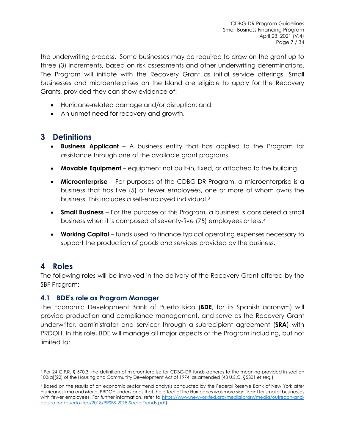the underwriting process. Some businesses may be required to draw on the grant up to three (3) increments, based on risk assessments and other underwriting determinations. The Program will initiate with the Recovery Grant as initial service offerings. Small businesses and microenterprises on the Island are eligible to apply for the Recovery Grants, provided they can show evidence of:

- Hurricane-related damage and/or disruption; and
- An unmet need for recovery and growth.

# <span id="page-6-0"></span>**3 Definitions**

- **Business Applicant** A business entity that has applied to the Program for assistance through one of the available grant programs.
- **Movable Equipment**  equipment not built-in, fixed, or attached to the building.
- **Microenterprise** For purposes of the CDBG-DR Program, a microenterprise is a business that has five (5) or fewer employees, one or more of whom owns the business. This includes a self-employed individual.[3](#page-6-3)
- **Small Business** For the purpose of this Program, a business is considered a small business when it is composed of seventy-five (75) employees or less.[4](#page-6-4)
- **Working Capital** funds used to finance typical operating expenses necessary to support the production of goods and services provided by the business.

# <span id="page-6-1"></span>**4 Roles**

 $\overline{a}$ 

The following roles will be involved in the delivery of the Recovery Grant offered by the SBF Program:

#### <span id="page-6-2"></span>**4.1 BDE's role as Program Manager**

The Economic Development Bank of Puerto Rico (**BDE**, for its Spanish acronym) will provide production and compliance management, and serve as the Recovery Grant underwriter, administrator and servicer through a subrecipient agreement (**SRA**) with PRDOH. In this role, BDE will manage all major aspects of the Program including, but not limited to:

<span id="page-6-3"></span><sup>3</sup> Per 24 C.F.R. § 570.3, the definition of microenterprise for CDBG-DR funds adheres to the meaning provided in section 102(a)(22) of the Housing and Community Development Act of 1974, as amended (43 U.S.C. §5301 *et seq.*).

<span id="page-6-4"></span><sup>4</sup> Based on the results of an economic sector trend analysis conducted by the Federal Reserve Bank of New York after Hurricanes Irma and María, PRDOH understands that the effect of the Hurricanes was more significant for smaller businesses with fewer employees. For further information, refer to [https://www.newyorkfed.org/medialibrary/media/outreach-and](https://www.newyorkfed.org/medialibrary/media/outreach-and-education/puerto-rico/2018/PRSBS-2018-SectorTrends.pdf)[education/puerto-rico/2018/PRSBS-2018-SectorTrends.pdf\)](https://www.newyorkfed.org/medialibrary/media/outreach-and-education/puerto-rico/2018/PRSBS-2018-SectorTrends.pdf)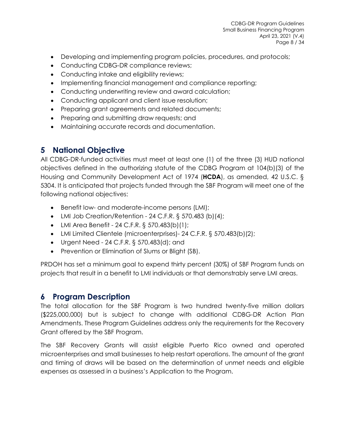- Developing and implementing program policies, procedures, and protocols;
- Conducting CDBG-DR compliance reviews;
- Conducting intake and eligibility reviews;
- Implementing financial management and compliance reporting;
- Conducting underwriting review and award calculation;
- Conducting applicant and client issue resolution;
- Preparing grant agreements and related documents;
- Preparing and submitting draw requests; and
- Maintaining accurate records and documentation.

# <span id="page-7-0"></span>**5 National Objective**

All CDBG-DR-funded activities must meet at least one (1) of the three (3) HUD national objectives defined in the authorizing statute of the CDBG Program at 104(b)(3) of the Housing and Community Development Act of 1974 (**HCDA**), as amended, 42 U.S.C. § 5304. It is anticipated that projects funded through the SBF Program will meet one of the following national objectives:

- Benefit low- and moderate-income persons (LMI);
- LMI Job Creation/Retention 24 C.F.R.  $\S$  570.483 (b)(4);
- LMI Area Benefit 24 C.F.R.  $\S$  570.483(b)(1);
- LMI Limited Clientele (microenterprises)- 24 C.F.R. § 570.483(b)(2);
- Urgent Need 24 C.F.R. § 570.483(d); and
- Prevention or Elimination of Slums or Blight (SB).

PRDOH has set a minimum goal to expend thirty percent (30%) of SBF Program funds on projects that result in a benefit to LMI individuals or that demonstrably serve LMI areas.

## <span id="page-7-1"></span>**6 Program Description**

The total allocation for the SBF Program is two hundred twenty-five million dollars (\$225,000,000) but is subject to change with additional CDBG-DR Action Plan Amendments. These Program Guidelines address only the requirements for the Recovery Grant offered by the SBF Program.

The SBF Recovery Grants will assist eligible Puerto Rico owned and operated microenterprises and small businesses to help restart operations. The amount of the grant and timing of draws will be based on the determination of unmet needs and eligible expenses as assessed in a business's Application to the Program.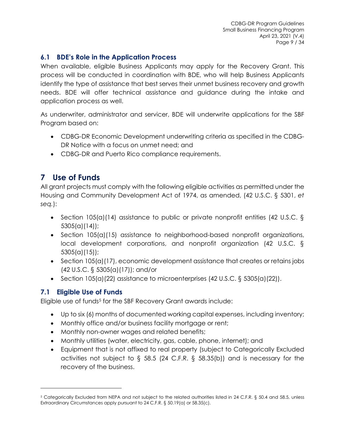#### <span id="page-8-0"></span>**6.1 BDE's Role in the Application Process**

When available, eligible Business Applicants may apply for the Recovery Grant. This process will be conducted in coordination with BDE, who will help Business Applicants identify the type of assistance that best serves their unmet business recovery and growth needs. BDE will offer technical assistance and guidance during the intake and application process as well.

As underwriter, administrator and servicer, BDE will underwrite applications for the SBF Program based on:

- CDBG-DR Economic Development underwriting criteria as specified in the CDBG-DR Notice with a focus on unmet need; and
- CDBG-DR and Puerto Rico compliance requirements.

# <span id="page-8-1"></span>**7 Use of Funds**

All grant projects must comply with the following eligible activities as permitted under the Housing and Community Development Act of 1974, as amended, (42 U.S.C. § 5301, *et seq.*):

- Section 105(a)(14) assistance to public or private nonprofit entities (42 U.S.C. § 5305(a)(14));
- Section 105(a)(15) assistance to neighborhood-based nonprofit organizations, local development corporations, and nonprofit organization (42 U.S.C. § 5305(a)(15));
- Section 105(a)(17), economic development assistance that creates or retains jobs (42 U.S.C. § 5305(a)(17)); and/or
- Section 105(a)(22) assistance to microenterprises (42 U.S.C. § 5305(a)(22)).

## <span id="page-8-2"></span>**7.1 Eligible Use of Funds**

 $\overline{a}$ 

Eligible use of funds<sup>[5](#page-8-3)</sup> for the SBF Recovery Grant awards include:

- Up to six (6) months of documented working capital expenses, including inventory;
- Monthly office and/or business facility mortgage or rent;
- Monthly non-owner wages and related benefits;
- Monthly utilities (water, electricity, gas, cable, phone, internet); and
- Equipment that is not affixed to real property (subject to Categorically Excluded activities not subject to § 58.5 (24 C.F.R. § 58.35(b)) and is necessary for the recovery of the business.

<span id="page-8-3"></span><sup>5</sup> Categorically Excluded from NEPA and not subject to the related authorities listed in 24 C.F.R. § 50.4 and 58.5, unless Extraordinary Circumstances apply pursuant to 24 C.F.R. § 50.19(a) or 58.35(c).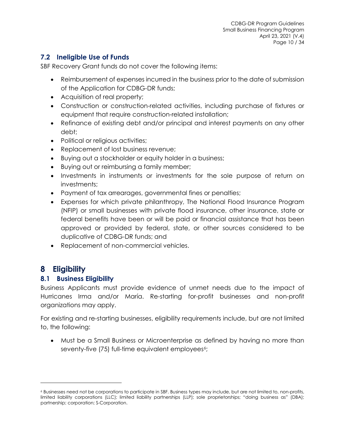#### <span id="page-9-0"></span>**7.2 Ineligible Use of Funds**

SBF Recovery Grant funds do not cover the following items:

- Reimbursement of expenses incurred in the business prior to the date of submission of the Application for CDBG-DR funds;
- Acquisition of real property;
- Construction or construction-related activities, including purchase of fixtures or equipment that require construction-related installation;
- Refinance of existing debt and/or principal and interest payments on any other debt;
- Political or religious activities;
- Replacement of lost business revenue;
- Buying out a stockholder or equity holder in a business;
- Buying out or reimbursing a family member;
- Investments in instruments or investments for the sole purpose of return on investments;
- Payment of tax arrearages, governmental fines or penalties;
- Expenses for which private philanthropy, The National Flood Insurance Program (NFIP) or small businesses with private flood insurance, other insurance, state or federal benefits have been or will be paid or financial assistance that has been approved or provided by federal, state, or other sources considered to be duplicative of CDBG-DR funds; and
- Replacement of non-commercial vehicles.

# <span id="page-9-1"></span>**8 Eligibility**

 $\overline{a}$ 

#### <span id="page-9-2"></span>**8.1 Business Eligibility**

Business Applicants must provide evidence of unmet needs due to the impact of Hurricanes Irma and/or María. Re-starting for-profit businesses and non-profit organizations may apply.

For existing and re-starting businesses, eligibility requirements include, but are not limited to, the following:

• Must be a Small Business or Microenterprise as defined by having no more than seventy-five (75) full-time equivalent employees<sup>6</sup>;

<span id="page-9-3"></span><sup>6</sup> Businesses need not be corporations to participate in SBF. Business types may include, but are not limited to, non-profits, limited liability corporations (LLC); limited liability partnerships (LLP); sole proprietorships; "doing business as" (DBA); partnership; corporation; S-Corporation.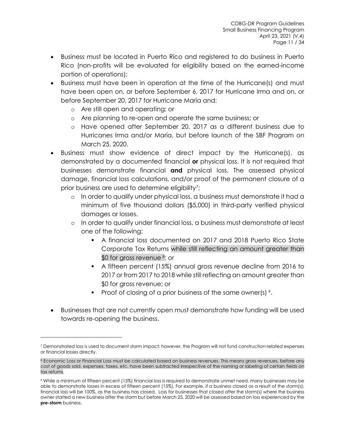- Business must be located in Puerto Rico and registered to do business in Puerto Rico (non-profits will be evaluated for eligibility based on the earned-income portion of operations);
- Business must have been in operation at the time of the Hurricane(s) and must have been open on, or before September 6, 2017 for Hurricane Irma and on, or before September 20, 2017 for Hurricane María and:
	- o Are still open and operating; or

 $\overline{a}$ 

- o Are planning to re-open and operate the same business; or
- o Have opened after September 20, 2017 as a different business due to Hurricanes Irma and/or María, but before launch of the SBF Program on March 25, 2020.
- Business must show evidence of direct impact by the Hurricane(s), as demonstrated by a documented financial **or** physical loss. It is not required that businesses demonstrate financial **and** physical loss. The assessed physical damage, financial loss calculations, and/or proof of the permanent closure of a prior business are used to determine eligibility<sup>7</sup>;
	- o In order to qualify under physical loss, a business must demonstrate it had a minimum of five thousand dollars (\$5,000) in third-party verified physical damages or losses.
	- o In order to qualify under financial loss, a business must demonstrate at least one of the following:
		- A financial loss documented on 2017 and 2018 Puerto Rico State Corporate Tax Returns while still reflecting an amount greater than \$0 for gross revenue<sup>[8](#page-10-1)</sup>; or
		- A fifteen percent (15%) annual gross revenue decline from 2016 to 2017 or from 2017 to 2018 while still reflecting an amount greater than \$0 for gross revenue; or
		- **Proof of closing of a prior business of the same owner(s)**  $\frac{9}{2}$  $\frac{9}{2}$  $\frac{9}{2}$ .
- Businesses that are not currently open must demonstrate how funding will be used towards re-opening the business.

<span id="page-10-0"></span><sup>7</sup> Demonstrated loss is used to document storm impact; however, the Program will not fund construction-related expenses or financial losses directly.

<span id="page-10-1"></span><sup>&</sup>lt;sup>8</sup> Economic Loss or Financial Loss must be calculated based on business revenues. This means gross revenues, before any cost of goods sold, expenses, taxes, etc. have been subtracted irrespective of the naming or labeling of certain fields on tax returns.

<span id="page-10-2"></span><sup>9</sup> While a minimum of fifteen percent (15%) financial loss is required to demonstrate unmet need, many businesses may be able to demonstrate losses in excess of fifteen percent (15%). For example, if a business closed as a result of the storm(s); financial loss will be 100%, as the business has closed. Loss for businesses that closed after the storm(s) where the business owner started a new business after the storm but before March 25, 2020 will be assessed based on loss experienced by the **pre-storm** business.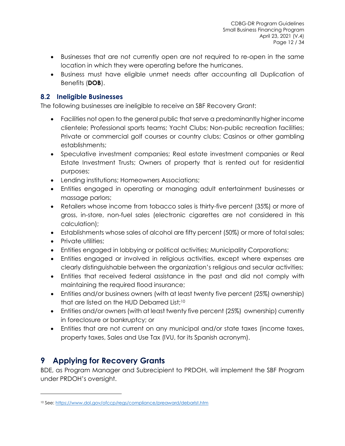- Businesses that are not currently open are not required to re-open in the same location in which they were operating before the hurricanes.
- Business must have eligible unmet needs after accounting all Duplication of Benefits (**DOB**).

#### <span id="page-11-0"></span>**8.2 Ineligible Businesses**

The following businesses are ineligible to receive an SBF Recovery Grant:

- Facilities not open to the general public that serve a predominantly higher income clientele; Professional sports teams; Yacht Clubs; Non-public recreation facilities; Private or commercial golf courses or country clubs; Casinos or other gambling establishments;
- Speculative investment companies; Real estate investment companies or Real Estate Investment Trusts; Owners of property that is rented out for residential purposes;
- Lending institutions; Homeowners Associations;
- Entities engaged in operating or managing adult entertainment businesses or massage parlors;
- Retailers whose income from tobacco sales is thirty-five percent (35%) or more of gross, in-store, non-fuel sales (electronic cigarettes are not considered in this calculation);
- Establishments whose sales of alcohol are fifty percent (50%) or more of total sales;
- Private utilities:

 $\overline{a}$ 

- Entities engaged in lobbying or political activities; Municipality Corporations;
- Entities engaged or involved in religious activities, except where expenses are clearly distinguishable between the organization's religious and secular activities;
- Entities that received federal assistance in the past and did not comply with maintaining the required flood insurance;
- Entities and/or business owners (with at least twenty five percent (25%) ownership) that are listed on the HUD Debarred List;[10](#page-11-2)
- Entities and/or owners (with at least twenty five percent (25%) ownership) currently in foreclosure or bankruptcy; or
- Entities that are not current on any municipal and/or state taxes (income taxes, property taxes, Sales and Use Tax (IVU, for its Spanish acronym).

# <span id="page-11-1"></span>**9 Applying for Recovery Grants**

BDE, as Program Manager and Subrecipient to PRDOH, will implement the SBF Program under PRDOH's oversight.

<span id="page-11-2"></span><sup>10</sup> See[: https://www.dol.gov/ofccp/regs/compliance/preaward/debarlst.htm](https://www.dol.gov/ofccp/regs/compliance/preaward/debarlst.htm)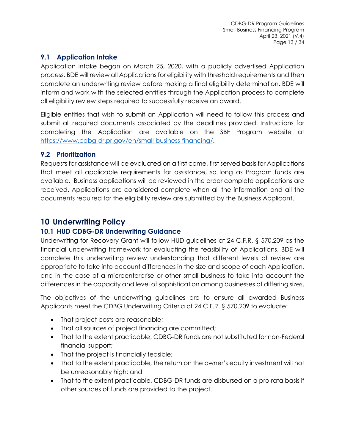## <span id="page-12-0"></span>**9.1 Application Intake**

Application intake began on March 25, 2020, with a publicly advertised Application process. BDE will review all Applications for eligibility with threshold requirements and then complete an underwriting review before making a final eligibility determination. BDE will inform and work with the selected entities through the Application process to complete all eligibility review steps required to successfully receive an award.

Eligible entities that wish to submit an Application will need to follow this process and submit all required documents associated by the deadlines provided. Instructions for completing the Application are available on the SBF Program website at [https://www.cdbg-dr.pr.gov/en/small-business-financing/.](https://www.cdbg-dr.pr.gov/en/small-business-financing/)

#### <span id="page-12-1"></span>**9.2 Prioritization**

Requests for assistance will be evaluated on a first come, first served basis for Applications that meet all applicable requirements for assistance, so long as Program funds are available. Business applications will be reviewed in the order complete applications are received. Applications are considered complete when all the information and all the documents required for the eligibility review are submitted by the Business Applicant.

# <span id="page-12-2"></span>**10 Underwriting Policy**

## <span id="page-12-3"></span>**10.1 HUD CDBG-DR Underwriting Guidance**

Underwriting for Recovery Grant will follow HUD guidelines at 24 C.F.R. § 570.209 as the financial underwriting framework for evaluating the feasibility of Applications. BDE will complete this underwriting review understanding that different levels of review are appropriate to take into account differences in the size and scope of each Application, and in the case of a microenterprise or other small business to take into account the differences in the capacity and level of sophistication among businesses of differing sizes.

The objectives of the underwriting guidelines are to ensure all awarded Business Applicants meet the CDBG Underwriting Criteria of 24 C.F.R. § 570.209 to evaluate:

- That project costs are reasonable;
- That all sources of project financing are committed;
- That to the extent practicable, CDBG-DR funds are not substituted for non-Federal financial support;
- That the project is financially feasible;
- That to the extent practicable, the return on the owner's equity investment will not be unreasonably high; and
- That to the extent practicable, CDBG-DR funds are disbursed on a pro rata basis if other sources of funds are provided to the project.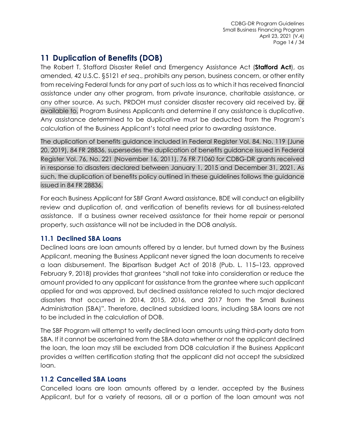# <span id="page-13-0"></span>**11 Duplication of Benefits (DOB)**

The Robert T. Stafford Disaster Relief and Emergency Assistance Act (**Stafford Act**), as amended, 42 U.S.C. §5121 *et seq*., prohibits any person, business concern, or other entity from receiving Federal funds for any part of such loss as to which it has received financial assistance under any other program, from private insurance, charitable assistance, or any other source. As such, PRDOH must consider disaster recovery aid received by, or available to, Program Business Applicants and determine if any assistance is duplicative. Any assistance determined to be duplicative must be deducted from the Program's calculation of the Business Applicant's total need prior to awarding assistance.

The duplication of benefits guidance included in Federal Register Vol. 84, No. 119 (June 20, 2019), 84 FR 28836, supersedes the duplication of benefits guidance issued in Federal Register Vol. 76, No. 221 (November 16, 2011), 76 FR 71060 for CDBG-DR grants received in response to disasters declared between January 1, 2015 and December 31, 2021. As such, the duplication of benefits policy outlined in these guidelines follows the guidance issued in 84 FR 28836.

For each Business Applicant for SBF Grant Award assistance, BDE will conduct an eligibility review and duplication of, and verification of benefits reviews for all business-related assistance. If a business owner received assistance for their home repair or personal property, such assistance will not be included in the DOB analysis.

## <span id="page-13-1"></span>**11.1 Declined SBA Loans**

Declined loans are loan amounts offered by a lender, but turned down by the Business Applicant, meaning the Business Applicant never signed the loan documents to receive a loan disbursement. The Bipartisan Budget Act of 2018 (Pub. L. 115–123, approved February 9, 2018) provides that grantees "shall not take into consideration or reduce the amount provided to any applicant for assistance from the grantee where such applicant applied for and was approved, but declined assistance related to such major declared disasters that occurred in 2014, 2015, 2016, and 2017 from the Small Business Administration (SBA)". Therefore, declined subsidized loans, including SBA loans are not to be included in the calculation of DOB.

The SBF Program will attempt to verify declined loan amounts using third-party data from SBA. If it cannot be ascertained from the SBA data whether or not the applicant declined the loan, the loan may still be excluded from DOB calculation if the Business Applicant provides a written certification stating that the applicant did not accept the subsidized loan.

#### <span id="page-13-2"></span>**11.2 Cancelled SBA Loans**

Cancelled loans are loan amounts offered by a lender, accepted by the Business Applicant, but for a variety of reasons, all or a portion of the loan amount was not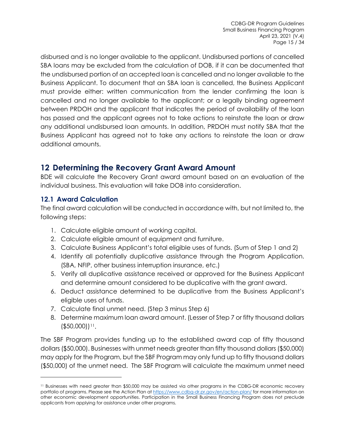disbursed and is no longer available to the applicant. Undisbursed portions of cancelled SBA loans may be excluded from the calculation of DOB, if it can be documented that the undisbursed portion of an accepted loan is cancelled and no longer available to the Business Applicant. To document that an SBA loan is cancelled, the Business Applicant must provide either: written communication from the lender confirming the loan is cancelled and no longer available to the applicant; or a legally binding agreement between PRDOH and the applicant that indicates the period of availability of the loan has passed and the applicant agrees not to take actions to reinstate the loan or draw any additional undisbursed loan amounts. In addition, PRDOH must notify SBA that the Business Applicant has agreed not to take any actions to reinstate the loan or draw additional amounts.

# <span id="page-14-0"></span>**12 Determining the Recovery Grant Award Amount**

BDE will calculate the Recovery Grant award amount based on an evaluation of the individual business. This evaluation will take DOB into consideration.

## <span id="page-14-1"></span>**12.1 Award Calculation**

 $\overline{a}$ 

The final award calculation will be conducted in accordance with, but not limited to, the following steps:

- 1. Calculate eligible amount of working capital.
- 2. Calculate eligible amount of equipment and furniture.
- 3. Calculate Business Applicant's total eligible uses of funds. (Sum of Step 1 and 2)
- 4. Identify all potentially duplicative assistance through the Program Application. (SBA, NFIP, other business interruption insurance, etc.)
- 5. Verify all duplicative assistance received or approved for the Business Applicant and determine amount considered to be duplicative with the grant award.
- 6. Deduct assistance determined to be duplicative from the Business Applicant's eligible uses of funds.
- 7. Calculate final unmet need. (Step 3 minus Step 6)
- 8. Determine maximum loan award amount. (Lesser of Step 7 or fifty thousand dollars  $($ \$50,000) $)$ <sup>[11](#page-14-2)</sup>.

The SBF Program provides funding up to the established award cap of fifty thousand dollars (\$50,000). Businesses with unmet needs greater than fifty thousand dollars (\$50,000) may apply for the Program, but the SBF Program may only fund up to fifty thousand dollars (\$50,000) of the unmet need. The SBF Program will calculate the maximum unmet need

<span id="page-14-2"></span><sup>11</sup> Businesses with need greater than \$50,000 may be assisted via other programs in the CDBG-DR economic recovery portfolio of programs. Please see the Action Plan a[t https://www.cdbg-dr.pr.gov/en/action-plan/](https://www.cdbg-dr.pr.gov/en/action-plan/) for more information on other economic development opportunities. Participation in the Small Business Financing Program does not preclude applicants from applying for assistance under other programs.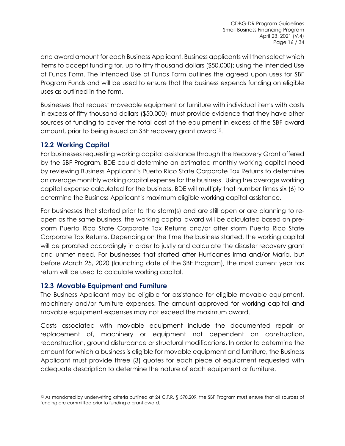and award amount for each Business Applicant. Business applicants will then select which items to accept funding for, up to fifty thousand dollars (\$50,000); using the Intended Use of Funds Form. The Intended Use of Funds Form outlines the agreed upon uses for SBF Program Funds and will be used to ensure that the business expends funding on eligible uses as outlined in the form.

Businesses that request moveable equipment or furniture with individual items with costs in excess of fifty thousand dollars (\$50,000), must provide evidence that they have other sources of funding to cover the total cost of the equipment in excess of the SBF award amount, prior to being issued an SBF recovery grant award<sup>12</sup>.

#### <span id="page-15-0"></span>**12.2 Working Capital**

 $\overline{a}$ 

For businesses requesting working capital assistance through the Recovery Grant offered by the SBF Program, BDE could determine an estimated monthly working capital need by reviewing Business Applicant's Puerto Rico State Corporate Tax Returns to determine an average monthly working capital expense for the business. Using the average working capital expense calculated for the business, BDE will multiply that number times six (6) to determine the Business Applicant's maximum eligible working capital assistance.

For businesses that started prior to the storm(s) and are still open or are planning to reopen as the same business, the working capital award will be calculated based on prestorm Puerto Rico State Corporate Tax Returns and/or after storm Puerto Rico State Corporate Tax Returns. Depending on the time the business started, the working capital will be prorated accordingly in order to justly and calculate the disaster recovery grant and unmet need. For businesses that started after Hurricanes Irma and/or María, but before March 25, 2020 (launching date of the SBF Program), the most current year tax return will be used to calculate working capital.

#### <span id="page-15-1"></span>**12.3 Movable Equipment and Furniture**

The Business Applicant may be eligible for assistance for eligible movable equipment, machinery and/or furniture expenses. The amount approved for working capital and movable equipment expenses may not exceed the maximum award.

Costs associated with movable equipment include the documented repair or replacement of, machinery or equipment not dependent on construction, reconstruction, ground disturbance or structural modifications. In order to determine the amount for which a business is eligible for movable equipment and furniture, the Business Applicant must provide three (3) quotes for each piece of equipment requested with adequate description to determine the nature of each equipment or furniture.

<span id="page-15-2"></span><sup>12</sup> As mandated by underwriting criteria outlined at 24 C.F.R. § 570.209, the SBF Program must ensure that all sources of funding are committed prior to funding a grant award.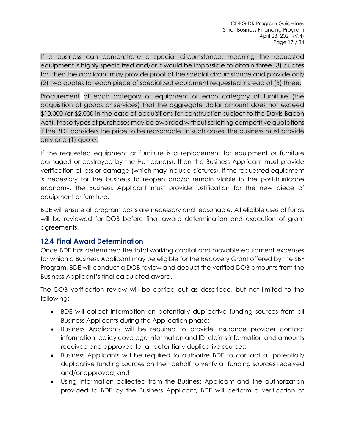If a business can demonstrate a special circumstance, meaning the requested equipment is highly specialized and/or it would be impossible to obtain three (3) quotes for, then the applicant may provide proof of the special circumstance and provide only (2) two quotes for each piece of specialized equipment requested instead of (3) three.

Procurement of each category of equipment or each category of furniture (the acquisition of goods or services) that the aggregate dollar amount does not exceed \$10,000 (or \$2,000 in the case of acquisitions for construction subject to the Davis-Bacon Act), these types of purchases may be awarded without soliciting competitive quotations if the BDE considers the price to be reasonable. In such cases, the business must provide only one (1) quote.

If the requested equipment or furniture is a replacement for equipment or furniture damaged or destroyed by the Hurricane(s), then the Business Applicant must provide verification of loss or damage (which may include pictures). If the requested equipment is necessary for the business to reopen and/or remain viable in the post-hurricane economy, the Business Applicant must provide justification for the new piece of equipment or furniture.

BDE will ensure all program costs are necessary and reasonable. All eligible uses of funds will be reviewed for DOB before final award determination and execution of grant agreements.

## <span id="page-16-0"></span>**12.4 Final Award Determination**

Once BDE has determined the total working capital and movable equipment expenses for which a Business Applicant may be eligible for the Recovery Grant offered by the SBF Program, BDE will conduct a DOB review and deduct the verified DOB amounts from the Business Applicant's final calculated award.

The DOB verification review will be carried out as described, but not limited to the following:

- BDE will collect information on potentially duplicative funding sources from all Business Applicants during the Application phase;
- Business Applicants will be required to provide insurance provider contact information, policy coverage information and ID, claims information and amounts received and approved for all potentially duplicative sources;
- Business Applicants will be required to authorize BDE to contact all potentially duplicative funding sources on their behalf to verify all funding sources received and/or approved; and
- Using information collected from the Business Applicant and the authorization provided to BDE by the Business Applicant, BDE will perform a verification of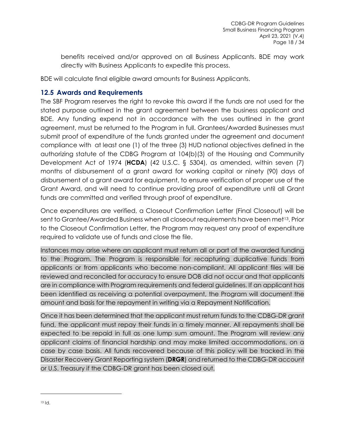benefits received and/or approved on all Business Applicants. BDE may work directly with Business Applicants to expedite this process.

BDE will calculate final eligible award amounts for Business Applicants.

#### <span id="page-17-0"></span>**12.5 Awards and Requirements**

The SBF Program reserves the right to revoke this award if the funds are not used for the stated purpose outlined in the grant agreement between the business applicant and BDE. Any funding expend not in accordance with the uses outlined in the grant agreement, must be returned to the Program in full. Grantees/Awarded Businesses must submit proof of expenditure of the funds granted under the agreement and document compliance with at least one (1) of the three (3) HUD national objectives defined in the authorizing statute of the CDBG Program at 104(b)(3) of the Housing and Community Development Act of 1974 (**HCDA**) (42 U.S.C. § 5304), as amended, within seven (7) months of disbursement of a grant award for working capital or ninety (90) days of disbursement of a grant award for equipment, to ensure verification of proper use of the Grant Award, and will need to continue providing proof of expenditure until all Grant funds are committed and verified through proof of expenditure.

Once expenditures are verified, a Closeout Confirmation Letter (Final Closeout) will be sent to Grantee/Awarded Business when all closeout requirements have been met<sup>[13](#page-17-1)</sup>. Prior to the Closeout Confirmation Letter, the Program may request any proof of expenditure required to validate use of funds and close the file.

Instances may arise where an applicant must return all or part of the awarded funding to the Program. The Program is responsible for recapturing duplicative funds from applicants or from applicants who become non-compliant. All applicant files will be reviewed and reconciled for accuracy to ensure DOB did not occur and that applicants are in compliance with Program requirements and federal guidelines. If an applicant has been identified as receiving a potential overpayment, the Program will document the amount and basis for the repayment in writing via a Repayment Notification.

Once it has been determined that the applicant must return funds to the CDBG‐DR grant fund, the applicant must repay their funds in a timely manner. All repayments shall be expected to be repaid in full as one lump sum amount. The Program will review any applicant claims of financial hardship and may make limited accommodations, on a case by case basis. All funds recovered because of this policy will be tracked in the Disaster Recovery Grant Reporting system (**DRGR**) and returned to the CDBG‐DR account or U.S. Treasury if the CDBG‐DR grant has been closed out.

<span id="page-17-1"></span> $\overline{a}$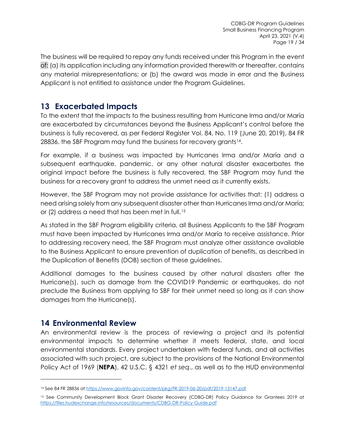The business will be required to repay any funds received under this Program in the event of: (a) its application including any information provided therewith or thereafter, contains any material misrepresentations; or (b) the award was made in error and the Business Applicant is not entitled to assistance under the Program Guidelines.

# <span id="page-18-0"></span>**13 Exacerbated Impacts**

To the extent that the impacts to the business resulting from Hurricane Irma and/or María are exacerbated by circumstances beyond the Business Applicant's control before the business is fully recovered, as per Federal Register Vol. 84, No. 119 (June 20, 2019), 84 FR 28836, the SBF Program may fund the business for recovery grants<sup>[14](#page-18-2)</sup>.

For example, if a business was impacted by Hurricanes Irma and/or María and a subsequent earthquake, pandemic, or any other natural disaster exacerbates the original impact before the business is fully recovered, the SBF Program may fund the business for a recovery grant to address the unmet need as it currently exists.

However, the SBF Program may not provide assistance for activities that: (1) address a need arising solely from any subsequent disaster other than Hurricanes Irma and/or María; or (2) address a need that has been met in full.[15](#page-18-3)

As stated in the SBF Program eligibility criteria, all Business Applicants to the SBF Program must have been impacted by Hurricanes Irma and/or María to receive assistance. Prior to addressing recovery need, the SBF Program must analyze other assistance available to the Business Applicant to ensure prevention of duplication of benefits, as described in the Duplication of Benefits (DOB) section of these guidelines.

Additional damages to the business caused by other natural disasters after the Hurricane(s), such as damage from the COVID19 Pandemic or earthquakes, do not preclude the Business from applying to SBF for their unmet need so long as it can show damages from the Hurricane(s).

# <span id="page-18-1"></span>**14 Environmental Review**

 $\overline{a}$ 

An environmental review is the process of reviewing a project and its potential environmental impacts to determine whether it meets federal, state, and local environmental standards. Every project undertaken with federal funds, and all activities associated with such project, are subject to the provisions of the National Environmental Policy Act of 1969 (**NEPA**), 42 U.S.C. § 4321 *et seq*., as well as to the HUD environmental

<span id="page-18-2"></span><sup>14</sup> See 84 FR 28836 a[t https://www.govinfo.gov/content/pkg/FR-2019-06-20/pdf/2019-13147.pdf](https://www.govinfo.gov/content/pkg/FR-2019-06-20/pdf/2019-13147.pdf)

<span id="page-18-3"></span><sup>15</sup> See Community Development Block Grant Disaster Recovery (CDBG-DR) Policy Guidance for Grantees 2019 at <https://files.hudexchange.info/resources/documents/CDBG-DR-Policy-Guide.pdf>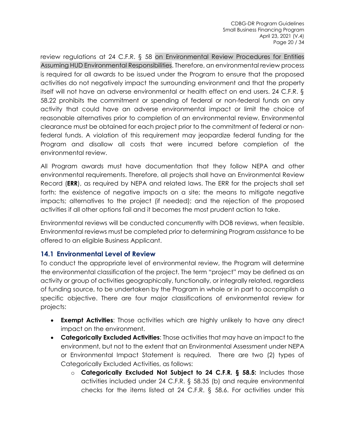review regulations at 24 C.F.R. § 58 on Environmental Review Procedures for Entities Assuming HUD Environmental Responsibilities. Therefore, an environmental review process is required for all awards to be issued under the Program to ensure that the proposed activities do not negatively impact the surrounding environment and that the property itself will not have an adverse environmental or health effect on end users. 24 C.F.R. § 58.22 prohibits the commitment or spending of federal or non-federal funds on any activity that could have an adverse environmental impact or limit the choice of reasonable alternatives prior to completion of an environmental review. Environmental clearance must be obtained for each project prior to the commitment of federal or nonfederal funds. A violation of this requirement may jeopardize federal funding for the Program and disallow all costs that were incurred before completion of the environmental review.

All Program awards must have documentation that they follow NEPA and other environmental requirements. Therefore, all projects shall have an Environmental Review Record (**ERR**), as required by NEPA and related laws. The ERR for the projects shall set forth: the existence of negative impacts on a site; the means to mitigate negative impacts; alternatives to the project (if needed); and the rejection of the proposed activities if all other options fail and it becomes the most prudent action to take.

Environmental reviews will be conducted concurrently with DOB reviews, when feasible. Environmental reviews must be completed prior to determining Program assistance to be offered to an eligible Business Applicant.

#### <span id="page-19-0"></span>**14.1 Environmental Level of Review**

To conduct the appropriate level of environmental review, the Program will determine the environmental classification of the project. The term "project" may be defined as an activity or group of activities geographically, functionally, or integrally related, regardless of funding source, to be undertaken by the Program in whole or in part to accomplish a specific objective. There are four major classifications of environmental review for projects:

- **Exempt Activities**: Those activities which are highly unlikely to have any direct impact on the environment.
- **Categorically Excluded Activities**: Those activities that may have an impact to the environment, but not to the extent that an Environmental Assessment under NEPA or Environmental Impact Statement is required. There are two (2) types of Categorically Excluded Activities, as follows:
	- o **Categorically Excluded Not Subject to 24 C.F.R. § 58.5:** Includes those activities included under 24 C.F.R. § 58.35 (b) and require environmental checks for the items listed at 24 C.F.R. § 58.6. For activities under this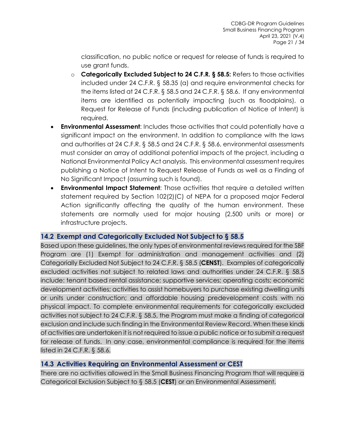classification, no public notice or request for release of funds is required to use grant funds.

- o **Categorically Excluded Subject to 24 C.F.R. § 58.5:** Refers to those activities included under 24 C.F.R. § 58.35 (a) and require environmental checks for the items listed at 24 C.F.R. § 58.5 and 24 C.F.R. § 58.6. If any environmental items are identified as potentially impacting (such as floodplains), a Request for Release of Funds (including publication of Notice of Intent) is required.
- **Environmental Assessment:** Includes those activities that could potentially have a significant impact on the environment. In addition to compliance with the laws and authorities at 24 C.F.R. § 58.5 and 24 C.F.R. § 58.6, environmental assessments must consider an array of additional potential impacts of the project, including a National Environmental Policy Act analysis. This environmental assessment requires publishing a Notice of Intent to Request Release of Funds as well as a Finding of No Significant Impact (assuming such is found).
- **Environmental Impact Statement**: Those activities that require a detailed written statement required by Section 102(2)(C) of NEPA for a proposed major Federal Action significantly affecting the quality of the human environment. These statements are normally used for major housing (2,500 units or more) or infrastructure projects.

## <span id="page-20-0"></span>**14.2 Exempt and Categorically Excluded Not Subject to § 58.5**

Based upon these guidelines, the only types of environmental reviews required for the SBF Program are (1) Exempt for administration and management activities and (2) Categorially Excluded Not Subject to 24 C.F.R. § 58.5 (**CENST**). Examples of categorically excluded activities not subject to related laws and authorities under 24 C.F.R. § 58.5 include: tenant based rental assistance; supportive services; operating costs; economic development activities; activities to assist homebuyers to purchase existing dwelling units or units under construction; and affordable housing predevelopment costs with no physical impact. To complete environmental requirements for categorically excluded activities not subject to 24 C.F.R. § 58.5, the Program must make a finding of categorical exclusion and include such finding in the Environmental Review Record. When these kinds of activities are undertaken it is not required to issue a public notice or to submit a request for release of funds. In any case, environmental compliance is required for the items listed in 24 C.F.R. § 58.6.

#### <span id="page-20-1"></span>**14.3 Activities Requiring an Environmental Assessment or CEST**

There are no activities allowed in the Small Business Financing Program that will require a Categorical Exclusion Subject to § 58.5 (**CEST**) or an Environmental Assessment.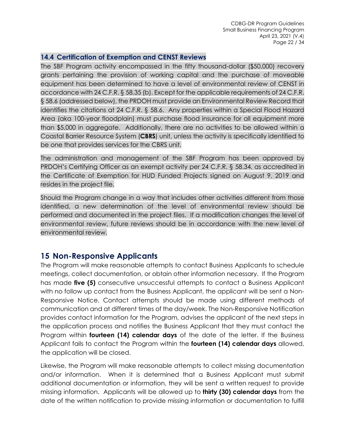#### <span id="page-21-0"></span>**14.4 Certification of Exemption and CENST Reviews**

The SBF Program activity encompassed in the fifty thousand-dollar (\$50,000) recovery grants pertaining the provision of working capital and the purchase of moveable equipment has been determined to have a level of environmental review of CENST in accordance with 24 C.F.R. § 58.35 (b). Except for the applicable requirements of 24 C.F.R. § 58.6 (addressed below), the PRDOH must provide an Environmental Review Record that identifies the citations at 24 C.F.R. § 58.6. Any properties within a Special Flood Hazard Area (aka 100-year floodplain) must purchase flood insurance for all equipment more than \$5,000 in aggregate. Additionally, there are no activities to be allowed within a Coastal Barrier Resource System (**CBRS**) unit, unless the activity is specifically identified to be one that provides services for the CBRS unit.

The administration and management of the SBF Program has been approved by PRDOH's Certifying Officer as an exempt activity per 24 C.F.R. § 58.34, as accredited in the Certificate of Exemption for HUD Funded Projects signed on August 9, 2019 and resides in the project file.

Should the Program change in a way that includes other activities different from those identified, a new determination of the level of environmental review should be performed and documented in the project files. If a modification changes the level of environmental review, future reviews should be in accordance with the new level of environmental review.

# <span id="page-21-1"></span>**15 Non-Responsive Applicants**

The Program will make reasonable attempts to contact Business Applicants to schedule meetings, collect documentation, or obtain other information necessary. If the Program has made **five (5)** consecutive unsuccessful attempts to contact a Business Applicant with no follow up contact from the Business Applicant, the applicant will be sent a Non-Responsive Notice. Contact attempts should be made using different methods of communication and at different times of the day/week. The Non-Responsive Notification provides contact information for the Program, advises the applicant of the next steps in the application process and notifies the Business Applicant that they must contact the Program within **fourteen (14) calendar days** of the date of the letter. If the Business Applicant fails to contact the Program within the **fourteen (14) calendar days** allowed, the application will be closed.

Likewise, the Program will make reasonable attempts to collect missing documentation and/or information. When it is determined that a Business Applicant must submit additional documentation or information, they will be sent a written request to provide missing information. Applicants will be allowed up to **thirty (30) calendar days** from the date of the written notification to provide missing information or documentation to fulfill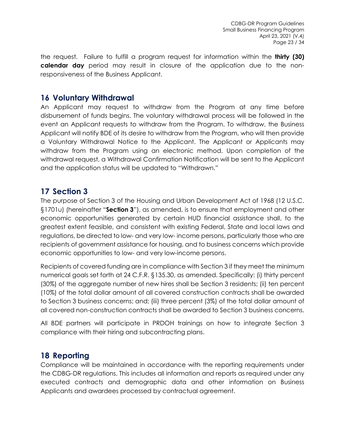the request. Failure to fulfill a program request for information within the **thirty (30) calendar day** period may result in closure of the application due to the nonresponsiveness of the Business Applicant.

## <span id="page-22-0"></span>**16 Voluntary Withdrawal**

An Applicant may request to withdraw from the Program at any time before disbursement of funds begins. The voluntary withdrawal process will be followed in the event an Applicant requests to withdraw from the Program. To withdraw, the Business Applicant will notify BDE of its desire to withdraw from the Program, who will then provide a Voluntary Withdrawal Notice to the Applicant. The Applicant or Applicants may withdraw from the Program using an electronic method. Upon completion of the withdrawal request, a Withdrawal Confirmation Notification will be sent to the Applicant and the application status will be updated to "Withdrawn."

## <span id="page-22-1"></span>**17 Section 3**

The purpose of Section 3 of the Housing and Urban Development Act of 1968 (12 U.S.C. §1701u) (hereinafter "**Section 3**"), as amended, is to ensure that employment and other economic opportunities generated by certain HUD financial assistance shall, to the greatest extent feasible, and consistent with existing Federal, State and local laws and regulations, be directed to low- and very low- income persons, particularly those who are recipients of government assistance for housing, and to business concerns which provide economic opportunities to low- and very low-income persons.

Recipients of covered funding are in compliance with Section 3 if they meet the minimum numerical goals set forth at 24 C.F.R. §135.30, as amended. Specifically: (i) thirty percent (30%) of the aggregate number of new hires shall be Section 3 residents; (ii) ten percent (10%) of the total dollar amount of all covered construction contracts shall be awarded to Section 3 business concerns; and; (iii) three percent (3%) of the total dollar amount of all covered non-construction contracts shall be awarded to Section 3 business concerns.

All BDE partners will participate in PRDOH trainings on how to integrate Section 3 compliance with their hiring and subcontracting plans.

# <span id="page-22-2"></span>**18 Reporting**

Compliance will be maintained in accordance with the reporting requirements under the CDBG-DR regulations. This includes all information and reports as required under any executed contracts and demographic data and other information on Business Applicants and awardees processed by contractual agreement.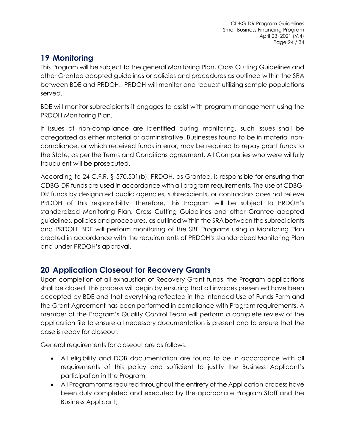# <span id="page-23-0"></span>**19 Monitoring**

This Program will be subject to the general Monitoring Plan, Cross Cutting Guidelines and other Grantee adopted guidelines or policies and procedures as outlined within the SRA between BDE and PRDOH. PRDOH will monitor and request utilizing sample populations served.

BDE will monitor subrecipients it engages to assist with program management using the PRDOH Monitoring Plan.

If issues of non-compliance are identified during monitoring, such issues shall be categorized as either material or administrative. Businesses found to be in material noncompliance, or which received funds in error, may be required to repay grant funds to the State, as per the Terms and Conditions agreement. All Companies who were willfully fraudulent will be prosecuted.

According to 24 C.F.R. § 570.501(b), PRDOH, as Grantee, is responsible for ensuring that CDBG-DR funds are used in accordance with all program requirements. The use of CDBG-DR funds by designated public agencies, subrecipients, or contractors does not relieve PRDOH of this responsibility. Therefore, this Program will be subject to PRDOH's standardized Monitoring Plan, Cross Cutting Guidelines and other Grantee adopted guidelines, policies and procedures, as outlined within the SRA between the subrecipients and PRDOH. BDE will perform monitoring of the SBF Programs using a Monitoring Plan created in accordance with the requirements of PRDOH's standardized Monitoring Plan and under PRDOH's approval.

# <span id="page-23-1"></span>**20 Application Closeout for Recovery Grants**

Upon completion of all exhaustion of Recovery Grant funds, the Program applications shall be closed. This process will begin by ensuring that all invoices presented have been accepted by BDE and that everything reflected in the Intended Use of Funds Form and the Grant Agreement has been performed in compliance with Program requirements. A member of the Program's Quality Control Team will perform a complete review of the application file to ensure all necessary documentation is present and to ensure that the case is ready for closeout.

General requirements for closeout are as follows:

- All eligibility and DOB documentation are found to be in accordance with all requirements of this policy and sufficient to justify the Business Applicant's participation in the Program;
- All Program forms required throughout the entirety of the Application process have been duly completed and executed by the appropriate Program Staff and the Business Applicant;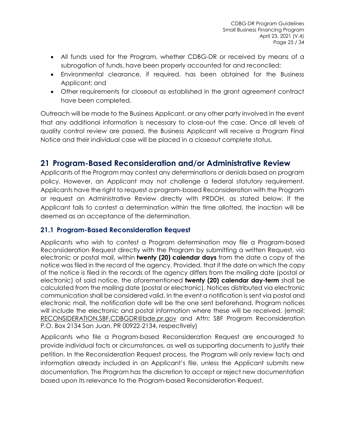- All funds used for the Program, whether CDBG-DR or received by means of a subrogation of funds, have been properly accounted for and reconciled;
- Environmental clearance, if required, has been obtained for the Business Applicant; and
- Other requirements for closeout as established in the grant agreement contract have been completed.

Outreach will be made to the Business Applicant, or any other party involved in the event that any additional information is necessary to close-out the case. Once all levels of quality control review are passed, the Business Applicant will receive a Program Final Notice and their individual case will be placed in a closeout complete status.

# <span id="page-24-0"></span>**21 Program-Based Reconsideration and/or Administrative Review**

Applicants of the Program may contest any determinations or denials based on program policy. However, an Applicant may not challenge a federal statutory requirement. Applicants have the right to request a program-based Reconsideration with the Program or request an Administrative Review directly with PRDOH, as stated below. If the Applicant fails to contest a determination within the time allotted, the inaction will be deemed as an acceptance of the determination.

## <span id="page-24-1"></span>**21.1 Program-Based Reconsideration Request**

Applicants who wish to contest a Program determination may file a Program-based Reconsideration Request directly with the Program by submitting a written Request, via electronic or postal mail, within **twenty (20) calendar days** from the date a copy of the notice was filed in the record of the agency. Provided, that if the date on which the copy of the notice is filed in the records of the agency differs from the mailing date (postal or electronic) of said notice, the aforementioned **twenty (20) calendar day-term** shall be calculated from the mailing date (postal or electronic). Notices distributed via electronic communication shall be considered valid. In the event a notification is sent via postal and electronic mail, the notification date will be the one sent beforehand. Program notices will include the electronic and postal information where these will be received. (email: [RECONSIDERATION.SBF.CDBGDR@bde.pr.gov](mailto:RECONSIDERATION.SBF.CDBGDR@bde.pr.gov) and Attn: SBF Program Reconsideration P.O. Box 2134 San Juan, PR 00922-2134, respectively)

Applicants who file a Program-based Reconsideration Request are encouraged to provide individual facts or circumstances, as well as supporting documents to justify their petition. In the Reconsideration Request process, the Program will only review facts and information already included in an Applicant's file, unless the Applicant submits new documentation. The Program has the discretion to accept or reject new documentation based upon its relevance to the Program-based Reconsideration Request.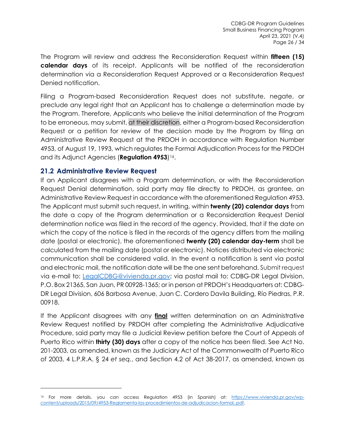The Program will review and address the Reconsideration Request within **fifteen (15) calendar days** of its receipt. Applicants will be notified of the reconsideration determination via a Reconsideration Request Approved or a Reconsideration Request Denied notification.

Filing a Program-based Reconsideration Request does not substitute, negate, or preclude any legal right that an Applicant has to challenge a determination made by the Program. Therefore, Applicants who believe the initial determination of the Program to be erroneous, may submit, at their discretion, either a Program-based Reconsideration Request or a petition for review of the decision made by the Program by filing an Administrative Review Request at the PRDOH in accordance with Regulation Number 4953, of August 19, 1993, which regulates the Formal Adjudication Process for the PRDOH and its Adjunct Agencies (**Regulation 4953**)<sup>[16](#page-25-1)</sup>.

#### <span id="page-25-0"></span>**21.2 Administrative Review Request**

 $\overline{a}$ 

If an Applicant disagrees with a Program determination, or with the Reconsideration Request Denial determination, said party may file directly to PRDOH, as grantee, an Administrative Review Request in accordance with the aforementioned Regulation 4953. The Applicant must submit such request, in writing, within **twenty (20) calendar days** from the date a copy of the Program determination or a Reconsideration Request Denial determination notice was filed in the record of the agency. Provided, that if the date on which the copy of the notice is filed in the records of the agency differs from the mailing date (postal or electronic), the aforementioned **twenty (20) calendar day-term** shall be calculated from the mailing date (postal or electronic). Notices distributed via electronic communication shall be considered valid. In the event a notification is sent via postal and electronic mail, the notification date will be the one sent beforehand. Submit request via e-mail to: [LegalCDBG@vivienda.pr.gov;](mailto:LegalCDBG@vivienda.pr.gov) via postal mail to: CDBG-DR Legal Division, P.O. Box 21365, San Juan, PR 00928-1365; or in person at PRDOH's Headquarters at: CDBG-DR Legal Division, 606 Barbosa Avenue, Juan C. Cordero Davila Building, Río Piedras, P.R. 00918.

If the Applicant disagrees with any **final** written determination on an Administrative Review Request notified by PRDOH after completing the Administrative Adjudicative Procedure, said party may file a Judicial Review petition before the Court of Appeals of Puerto Rico within **thirty (30) days** after a copy of the notice has been filed. See Act No. 201-2003, as amended, known as the Judiciary Act of the Commonwealth of Puerto Rico of 2003, 4 L.P.R.A. § 24 *et seq.*, and Section 4.2 of Act 38-2017, as amended, known as

<span id="page-25-1"></span><sup>16</sup> For more details, you can access Regulation 4953 (in Spanish) at: [https://www.vivienda.pr.gov/wp](https://www.vivienda.pr.gov/wp-content/uploads/2015/09/4953-Reglamenta-los-procedimientos-de-adjudicacion-formal..pdf)[content/uploads/2015/09/4953-Reglamenta-los-procedimientos-de-adjudicacion-formal..pdf.](https://www.vivienda.pr.gov/wp-content/uploads/2015/09/4953-Reglamenta-los-procedimientos-de-adjudicacion-formal..pdf)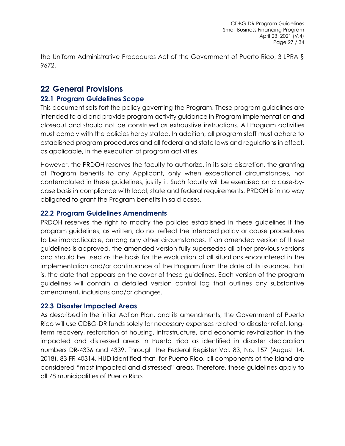the Uniform Administrative Procedures Act of the Government of Puerto Rico, 3 LPRA § 9672.

# <span id="page-26-0"></span>**22 General Provisions**

## <span id="page-26-1"></span>**22.1 Program Guidelines Scope**

This document sets fort the policy governing the Program. These program guidelines are intended to aid and provide program activity guidance in Program implementation and closeout and should not be construed as exhaustive instructions. All Program activities must comply with the policies herby stated. In addition, all program staff must adhere to established program procedures and all federal and state laws and regulations in effect, as applicable, in the execution of program activities.

However, the PRDOH reserves the faculty to authorize, in its sole discretion, the granting of Program benefits to any Applicant, only when exceptional circumstances, not contemplated in these guidelines, justify it. Such faculty will be exercised on a case-bycase basis in compliance with local, state and federal requirements. PRDOH is in no way obligated to grant the Program benefits in said cases.

#### <span id="page-26-2"></span>**22.2 Program Guidelines Amendments**

PRDOH reserves the right to modify the policies established in these guidelines if the program guidelines, as written, do not reflect the intended policy or cause procedures to be impracticable, among any other circumstances. If an amended version of these guidelines is approved, the amended version fully supersedes all other previous versions and should be used as the basis for the evaluation of all situations encountered in the implementation and/or continuance of the Program from the date of its issuance, that is, the date that appears on the cover of these guidelines. Each version of the program guidelines will contain a detailed version control log that outlines any substantive amendment, inclusions and/or changes.

#### <span id="page-26-3"></span>**22.3 Disaster Impacted Areas**

As described in the initial Action Plan, and its amendments, the Government of Puerto Rico will use CDBG-DR funds solely for necessary expenses related to disaster relief, longterm recovery, restoration of housing, infrastructure, and economic revitalization in the impacted and distressed areas in Puerto Rico as identified in disaster declaration numbers DR-4336 and 4339. Through the Federal Register Vol. 83, No. 157 (August 14, 2018), 83 FR 40314, HUD identified that, for Puerto Rico, all components of the Island are considered "most impacted and distressed" areas. Therefore, these guidelines apply to all 78 municipalities of Puerto Rico.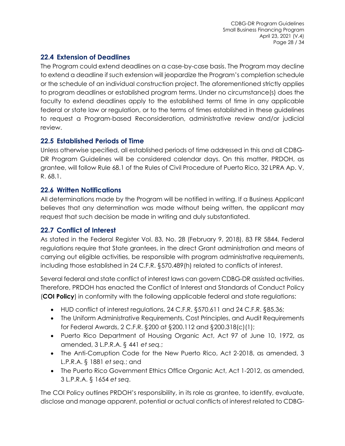#### <span id="page-27-0"></span>**22.4 Extension of Deadlines**

The Program could extend deadlines on a case-by-case basis. The Program may decline to extend a deadline if such extension will jeopardize the Program's completion schedule or the schedule of an individual construction project. The aforementioned strictly applies to program deadlines or established program terms. Under no circumstance(s) does the faculty to extend deadlines apply to the established terms of time in any applicable federal or state law or regulation, or to the terms of times established in these guidelines to request a Program-based Reconsideration, administrative review and/or judicial review.

#### <span id="page-27-1"></span>**22.5 Established Periods of Time**

Unless otherwise specified, all established periods of time addressed in this and all CDBG-DR Program Guidelines will be considered calendar days. On this matter, PRDOH, as grantee, will follow Rule 68.1 of the Rules of Civil Procedure of Puerto Rico, 32 LPRA Ap. V, R. 68.1.

#### <span id="page-27-2"></span>**22.6 Written Notifications**

All determinations made by the Program will be notified in writing. If a Business Applicant believes that any determination was made without being written, the applicant may request that such decision be made in writing and duly substantiated.

#### <span id="page-27-3"></span>**22.7 Conflict of Interest**

As stated in the Federal Register Vol. 83, No. 28 (February 9, 2018), 83 FR 5844, Federal regulations require that State grantees, in the direct Grant administration and means of carrying out eligible activities, be responsible with program administrative requirements, including those established in 24 C.F.R. §570.489(h) related to conflicts of interest.

Several federal and state conflict of interest laws can govern CDBG-DR assisted activities. Therefore, PRDOH has enacted the Conflict of Interest and Standards of Conduct Policy (**COI Policy**) in conformity with the following applicable federal and state regulations:

- HUD conflict of interest regulations, 24 C.F.R. §570.611 and 24 C.F.R. §85.36;
- The Uniform Administrative Requirements, Cost Principles, and Audit Requirements for Federal Awards, 2 C.F.R. §200 at §200.112 and §200.318(c)(1);
- Puerto Rico Department of Housing Organic Act, Act 97 of June 10, 1972, as amended, 3 L.P.R.A. § 441 *et seq.*;
- The Anti-Corruption Code for the New Puerto Rico, Act 2-2018, as amended, 3 L.P.R.A. § 1881 *et seq.*; and
- The Puerto Rico Government Ethics Office Organic Act, Act 1-2012, as amended, 3 L.P.R.A. § 1654 *et seq*.

The COI Policy outlines PRDOH's responsibility, in its role as grantee, to identify, evaluate, disclose and manage apparent, potential or actual conflicts of interest related to CDBG-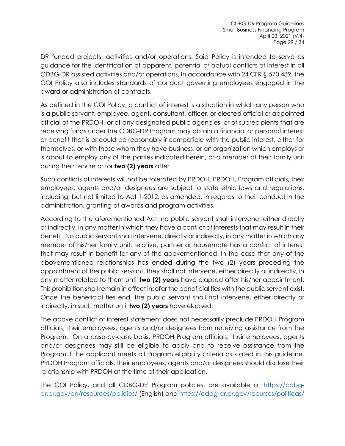DR funded projects, activities and/or operations. Said Policy is intended to serve as guidance for the identification of apparent, potential or actual conflicts of interest in all CDBG-DR assisted activities and/or operations. In accordance with 24 CFR § 570.489, the COI Policy also includes standards of conduct governing employees engaged in the award or administration of contracts.

As defined in the COI Policy, a conflict of interest is a situation in which any person who is a public servant, employee, agent, consultant, officer, or elected official or appointed official of the PRDOH, or of any designated public agencies, or of subrecipients that are receiving funds under the CDBG-DR Program may obtain a financial or personal interest or benefit that is or could be reasonably incompatible with the public interest, either for themselves, or with those whom they have business, or an organization which employs or is about to employ any of the parties indicated herein, or a member of their family unit during their tenure or for **two (2) years** after.

Such conflicts of interests will not be tolerated by PRDOH. PRDOH, Program officials, their employees, agents and/or designees are subject to state ethic laws and regulations, including, but not limited to Act 1-2012, as amended, in regards to their conduct in the administration, granting of awards and program activities.

According to the aforementioned Act, no public servant shall intervene, either directly or indirectly, in any matter in which they have a conflict of interests that may result in their benefit. No public servant shall intervene, directly or indirectly, in any matter in which any member of his/her family unit, relative, partner or housemate has a conflict of interest that may result in benefit for any of the abovementioned. In the case that any of the abovementioned relationships has ended during the two (2) years preceding the appointment of the public servant, they shall not intervene, either directly or indirectly, in any matter related to them until **two (2) years** have elapsed after his/her appointment. This prohibition shall remain in effect insofar the beneficial ties with the public servant exist. Once the beneficial ties end, the public servant shall not intervene, either directly or indirectly, in such matter until **two (2) years** have elapsed.

The above conflict of interest statement does not necessarily preclude PRDOH Program officials, their employees, agents and/or designees from receiving assistance from the Program. On a case-by-case basis, PRDOH Program officials, their employees, agents and/or designees may still be eligible to apply and to receive assistance from the Program if the applicant meets all Program eligibility criteria as stated in this guideline. PRDOH Program officials, their employees, agents and/or designees should disclose their relationship with PRDOH at the time of their application.

The COI Policy, and all CDBG-DR Program policies, are available at [https://cdbg](https://cdbg-dr.pr.gov/en/resources/policies/)[dr.pr.gov/en/resources/policies/](https://cdbg-dr.pr.gov/en/resources/policies/) (English) and<https://cdbg-dr.pr.gov/recursos/politicas/>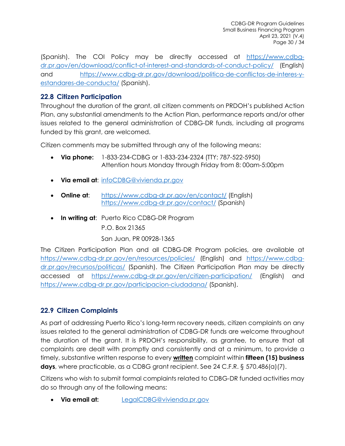(Spanish). The COI Policy may be directly accessed at [https://www.cdbg](https://www.cdbg-dr.pr.gov/en/download/conflict-of-interest-and-standards-of-conduct-policy/)[dr.pr.gov/en/download/conflict-of-interest-and-standards-of-conduct-policy/](https://www.cdbg-dr.pr.gov/en/download/conflict-of-interest-and-standards-of-conduct-policy/) (English) and [https://www.cdbg-dr.pr.gov/download/politica-de-conflictos-de-interes-y](https://www.cdbg-dr.pr.gov/download/politica-de-conflictos-de-interes-y-estandares-de-conducta/)[estandares-de-conducta/](https://www.cdbg-dr.pr.gov/download/politica-de-conflictos-de-interes-y-estandares-de-conducta/) (Spanish).

## <span id="page-29-0"></span>**22.8 Citizen Participation**

Throughout the duration of the grant, all citizen comments on PRDOH's published Action Plan, any substantial amendments to the Action Plan, performance reports and/or other issues related to the general administration of CDBG-DR funds, including all programs funded by this grant, are welcomed.

Citizen comments may be submitted through any of the following means:

- **Via phone:** 1-833-234-CDBG or 1-833-234-2324 (TTY: 787-522-5950) Attention hours Monday through Friday from 8: 00am-5:00pm
- **Via email at**: [infoCDBG@vivienda.pr.gov](mailto:infoCDBG@vivienda.pr.gov)
- **Online at**: <https://www.cdbg-dr.pr.gov/en/contact/> (English) <https://www.cdbg-dr.pr.gov/contact/> (Spanish)
- **In writing at**: Puerto Rico CDBG-DR Program P.O. Box 21365

San Juan, PR 00928-1365

The Citizen Participation Plan and all CDBG-DR Program policies, are available at <https://www.cdbg-dr.pr.gov/en/resources/policies/> (English) and [https://www.cdbg](https://www.cdbg-dr.pr.gov/recursos/politicas/)[dr.pr.gov/recursos/politicas/](https://www.cdbg-dr.pr.gov/recursos/politicas/) (Spanish). The Citizen Participation Plan may be directly accessed at <https://www.cdbg-dr.pr.gov/en/citizen-participation/> (English) and <https://www.cdbg-dr.pr.gov/participacion-ciudadana/> (Spanish).

## <span id="page-29-1"></span>**22.9 Citizen Complaints**

As part of addressing Puerto Rico's long-term recovery needs, citizen complaints on any issues related to the general administration of CDBG-DR funds are welcome throughout the duration of the grant. It is PRDOH's responsibility, as grantee, to ensure that all complaints are dealt with promptly and consistently and at a minimum, to provide a timely, substantive written response to every **written** complaint within **fifteen (15) business days**, where practicable, as a CDBG grant recipient. See 24 C.F.R. § 570.486(a)(7).

Citizens who wish to submit formal complaints related to CDBG-DR funded activities may do so through any of the following means:

• **Via email at:** [LegalCDBG@vivienda.pr.gov](mailto:LegalCDBG@vivienda.pr.gov)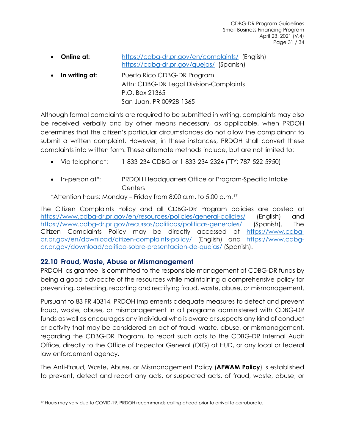**Online at:** <https://cdbg-dr.pr.gov/en/complaints/>(English) <https://cdbg-dr.pr.gov/quejas/>(Spanish) • **In writing at:** Puerto Rico CDBG-DR Program Attn: CDBG-DR Legal Division-Complaints P.O. Box 21365 San Juan, PR 00928-1365

Although formal complaints are required to be submitted in writing, complaints may also be received verbally and by other means necessary, as applicable, when PRDOH determines that the citizen's particular circumstances do not allow the complainant to submit a written complaint. However, in these instances, PRDOH shall convert these complaints into written form. These alternate methods include, but are not limited to:

- Via telephone\*: 1-833-234-CDBG or 1-833-234-2324 (TTY: 787-522-5950)
- In-person at\*: PRDOH Headquarters Office or Program-Specific Intake **Centers**

\*Attention hours: Monday – Friday from 8:00 a.m. to 5:00 p.m.[17](#page-30-1)

The Citizen Complaints Policy and all CDBG-DR Program policies are posted at <https://www.cdbg-dr.pr.gov/en/resources/policies/general-policies/> (English) and <https://www.cdbg-dr.pr.gov/recursos/politicas/politicas-generales/> (Spanish). The Citizen Complaints Policy may be directly accessed at [https://www.cdbg](https://www.cdbg-dr.pr.gov/en/download/citizen-complaints-policy/)[dr.pr.gov/en/download/citizen-complaints-policy/](https://www.cdbg-dr.pr.gov/en/download/citizen-complaints-policy/) (English) and [https://www.cdbg](https://www.cdbg-dr.pr.gov/download/politica-sobre-presentacion-de-quejas/)[dr.pr.gov/download/politica-sobre-presentacion-de-quejas/](https://www.cdbg-dr.pr.gov/download/politica-sobre-presentacion-de-quejas/) (Spanish).

#### <span id="page-30-0"></span>**22.10 Fraud, Waste, Abuse or Mismanagement**

 $\overline{a}$ 

PRDOH, as grantee, is committed to the responsible management of CDBG-DR funds by being a good advocate of the resources while maintaining a comprehensive policy for preventing, detecting, reporting and rectifying fraud, waste, abuse, or mismanagement.

Pursuant to 83 FR 40314, PRDOH implements adequate measures to detect and prevent fraud, waste, abuse, or mismanagement in all programs administered with CDBG-DR funds as well as encourages any individual who is aware or suspects any kind of conduct or activity that may be considered an act of fraud, waste, abuse, or mismanagement, regarding the CDBG-DR Program, to report such acts to the CDBG-DR Internal Audit Office, directly to the Office of Inspector General (OIG) at HUD, or any local or federal law enforcement agency.

The Anti-Fraud, Waste, Abuse, or Mismanagement Policy (**AFWAM Policy**) is established to prevent, detect and report any acts, or suspected acts, of fraud, waste, abuse, or

<span id="page-30-1"></span><sup>&</sup>lt;sup>17</sup> Hours may vary due to COVID-19. PRDOH recommends calling ahead prior to arrival to corroborate.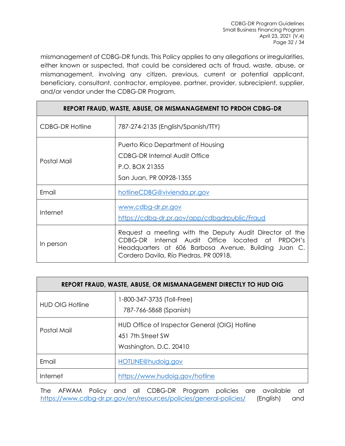mismanagement of CDBG-DR funds. This Policy applies to any allegations or irregularities, either known or suspected, that could be considered acts of fraud, waste, abuse, or mismanagement, involving any citizen, previous, current or potential applicant, beneficiary, consultant, contractor, employee, partner, provider, subrecipient, supplier, and/or vendor under the CDBG-DR Program.

| REPORT FRAUD, WASTE, ABUSE, OR MISMANAGEMENT TO PRDOH CDBG-DR |                                                                                                                                                                                                               |  |  |  |
|---------------------------------------------------------------|---------------------------------------------------------------------------------------------------------------------------------------------------------------------------------------------------------------|--|--|--|
| <b>CDBG-DR Hotline</b>                                        | 787-274-2135 (English/Spanish/TTY)                                                                                                                                                                            |  |  |  |
| Postal Mail                                                   | Puerto Rico Department of Housing<br>CDBG-DR Internal Audit Office<br>P.O. BOX 21355<br>San Juan, PR 00928-1355                                                                                               |  |  |  |
| Email                                                         | hotlineCDBG@vivienda.pr.gov                                                                                                                                                                                   |  |  |  |
| Internet                                                      | www.cdbg-dr.pr.gov<br>https://cdbg-dr.pr.gov/app/cdbgdrpublic/Fraud                                                                                                                                           |  |  |  |
| In person                                                     | Request a meeting with the Deputy Audit Director of the<br>CDBG-DR Internal Audit Office located at PRDOH's<br>Headquarters at 606 Barbosa Avenue, Building Juan C.<br>Cordero Davila, Río Piedras, PR 00918. |  |  |  |

| REPORT FRAUD, WASTE, ABUSE, OR MISMANAGEMENT DIRECTLY TO HUD OIG |                                                                                              |  |  |  |
|------------------------------------------------------------------|----------------------------------------------------------------------------------------------|--|--|--|
| <b>HUD OIG Hotline</b>                                           | 1-800-347-3735 (Toll-Free)<br>787-766-5868 (Spanish)                                         |  |  |  |
| Postal Mail                                                      | HUD Office of Inspector General (OIG) Hotline<br>451 7th Street SW<br>Washington, D.C. 20410 |  |  |  |
| Email                                                            | HOTLINE@hudoig.gov                                                                           |  |  |  |
| Internet                                                         | https://www.hudoig.gov/hotline                                                               |  |  |  |

The AFWAM Policy and all CDBG-DR Program policies are available at <https://www.cdbg-dr.pr.gov/en/resources/policies/general-policies/> (English) and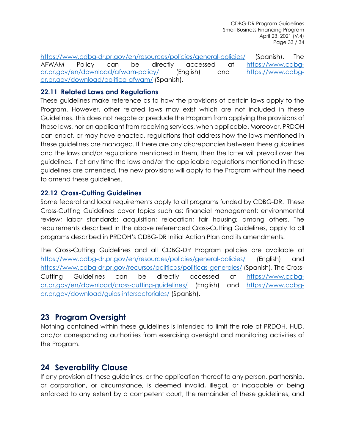<https://www.cdbg-dr.pr.gov/en/resources/policies/general-policies/> (Spanish). The AFWAM Policy can be directly accessed at [https://www.cdbg](https://www.cdbg-dr.pr.gov/en/download/afwam-policy/)[dr.pr.gov/en/download/afwam-policy/](https://www.cdbg-dr.pr.gov/en/download/afwam-policy/) (English) and [https://www.cdbg](https://www.cdbg-dr.pr.gov/download/politica-afwam/)[dr.pr.gov/download/politica-afwam/](https://www.cdbg-dr.pr.gov/download/politica-afwam/) (Spanish).

#### <span id="page-32-0"></span>**22.11 Related Laws and Regulations**

These guidelines make reference as to how the provisions of certain laws apply to the Program. However, other related laws may exist which are not included in these Guidelines. This does not negate or preclude the Program from applying the provisions of those laws, nor an applicant from receiving services, when applicable. Moreover, PRDOH can enact, or may have enacted, regulations that address how the laws mentioned in these guidelines are managed. If there are any discrepancies between these guidelines and the laws and/or regulations mentioned in them, then the latter will prevail over the guidelines. If at any time the laws and/or the applicable regulations mentioned in these guidelines are amended, the new provisions will apply to the Program without the need to amend these guidelines.

#### <span id="page-32-1"></span>**22.12 Cross-Cutting Guidelines**

Some federal and local requirements apply to all programs funded by CDBG-DR. These Cross-Cutting Guidelines cover topics such as: financial management; environmental review; labor standards; acquisition; relocation; fair housing; among others. The requirements described in the above referenced Cross-Cutting Guidelines, apply to all programs described in PRDOH's CDBG-DR Initial Action Plan and its amendments.

The Cross-Cutting Guidelines and all CDBG-DR Program policies are available at <https://www.cdbg-dr.pr.gov/en/resources/policies/general-policies/> (English) and <https://www.cdbg-dr.pr.gov/recursos/politicas/politicas-generales/> (Spanish). The Cross-Cutting Guidelines can be directly accessed at [https://www.cdbg](https://www.cdbg-dr.pr.gov/en/download/cross-cutting-guidelines/)[dr.pr.gov/en/download/cross-cutting-guidelines/](https://www.cdbg-dr.pr.gov/en/download/cross-cutting-guidelines/) (English) and [https://www.cdbg](https://www.cdbg-dr.pr.gov/download/guias-intersectoriales/)[dr.pr.gov/download/guias-intersectoriales/](https://www.cdbg-dr.pr.gov/download/guias-intersectoriales/) (Spanish).

# <span id="page-32-2"></span>**23 Program Oversight**

Nothing contained within these guidelines is intended to limit the role of PRDOH, HUD, and/or corresponding authorities from exercising oversight and monitoring activities of the Program.

# <span id="page-32-3"></span>**24 Severability Clause**

If any provision of these guidelines, or the application thereof to any person, partnership, or corporation, or circumstance, is deemed invalid, illegal, or incapable of being enforced to any extent by a competent court, the remainder of these guidelines, and